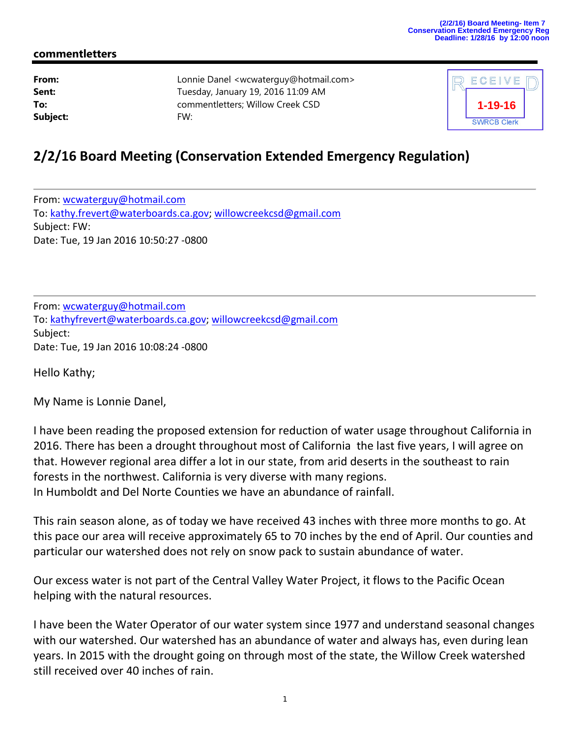## **commentletters**

| From:    | Lon |
|----------|-----|
| Sent:    | Tue |
| To:      | com |
| Subject: | FW: |

**From:** Lonnie Danel <wcwaterguy@hotmail.com> **Sent:** Tuesday, January 19, 2016 11:09 AM **To:** commentletters; Willow Creek CSD



## **2/2/16 Board Meeting (Conservation Extended Emergency Regulation)**

From: wcwaterguy@hotmail.com To: kathy.frevert@waterboards.ca.gov; willowcreekcsd@gmail.com Subject: FW: Date: Tue, 19 Jan 2016 10:50:27 ‐0800

From: wcwaterguy@hotmail.com To: kathyfrevert@waterboards.ca.gov; willowcreekcsd@gmail.com Subject: Date: Tue, 19 Jan 2016 10:08:24 ‐0800

Hello Kathy;

My Name is Lonnie Danel,

I have been reading the proposed extension for reduction of water usage throughout California in 2016. There has been a drought throughout most of California the last five years, I will agree on that. However regional area differ a lot in our state, from arid deserts in the southeast to rain forests in the northwest. California is very diverse with many regions. In Humboldt and Del Norte Counties we have an abundance of rainfall.

This rain season alone, as of today we have received 43 inches with three more months to go. At this pace our area will receive approximately 65 to 70 inches by the end of April. Our counties and particular our watershed does not rely on snow pack to sustain abundance of water.

Our excess water is not part of the Central Valley Water Project, it flows to the Pacific Ocean helping with the natural resources.

I have been the Water Operator of our water system since 1977 and understand seasonal changes with our watershed. Our watershed has an abundance of water and always has, even during lean years. In 2015 with the drought going on through most of the state, the Willow Creek watershed still received over 40 inches of rain.